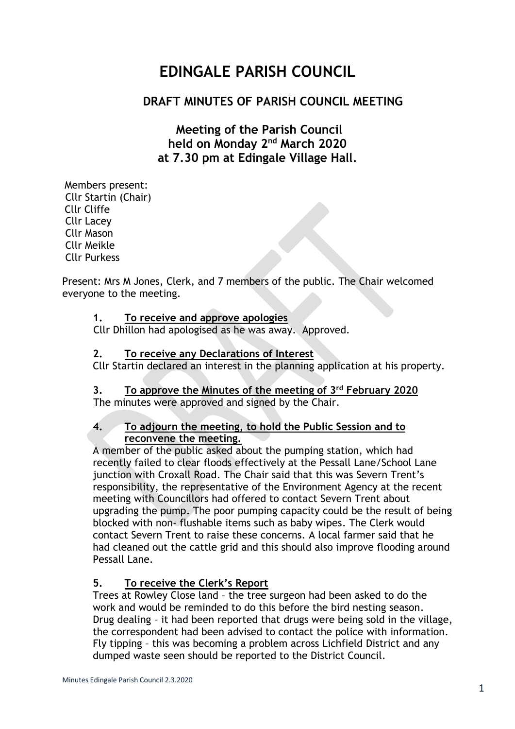# **EDINGALE PARISH COUNCIL**

# **DRAFT MINUTES OF PARISH COUNCIL MEETING**

# **Meeting of the Parish Council held on Monday 2 nd March 2020 at 7.30 pm at Edingale Village Hall.**

Members present: Cllr Startin (Chair) Cllr Cliffe Cllr Lacey Cllr Mason Cllr Meikle Cllr Purkess

Present: Mrs M Jones, Clerk, and 7 members of the public. The Chair welcomed everyone to the meeting.

#### **1. To receive and approve apologies**

Cllr Dhillon had apologised as he was away. Approved.

#### **2. To receive any Declarations of Interest**

Cllr Startin declared an interest in the planning application at his property.

#### **3. To approve the Minutes of the meeting of 3 rd February 2020**

The minutes were approved and signed by the Chair.

#### **4. To adjourn the meeting, to hold the Public Session and to reconvene the meeting.**

A member of the public asked about the pumping station, which had recently failed to clear floods effectively at the Pessall Lane/School Lane junction with Croxall Road. The Chair said that this was Severn Trent's responsibility, the representative of the Environment Agency at the recent meeting with Councillors had offered to contact Severn Trent about upgrading the pump. The poor pumping capacity could be the result of being blocked with non- flushable items such as baby wipes. The Clerk would contact Severn Trent to raise these concerns. A local farmer said that he had cleaned out the cattle grid and this should also improve flooding around Pessall Lane.

## **5. To receive the Clerk's Report**

Trees at Rowley Close land – the tree surgeon had been asked to do the work and would be reminded to do this before the bird nesting season. Drug dealing – it had been reported that drugs were being sold in the village, the correspondent had been advised to contact the police with information. Fly tipping – this was becoming a problem across Lichfield District and any dumped waste seen should be reported to the District Council.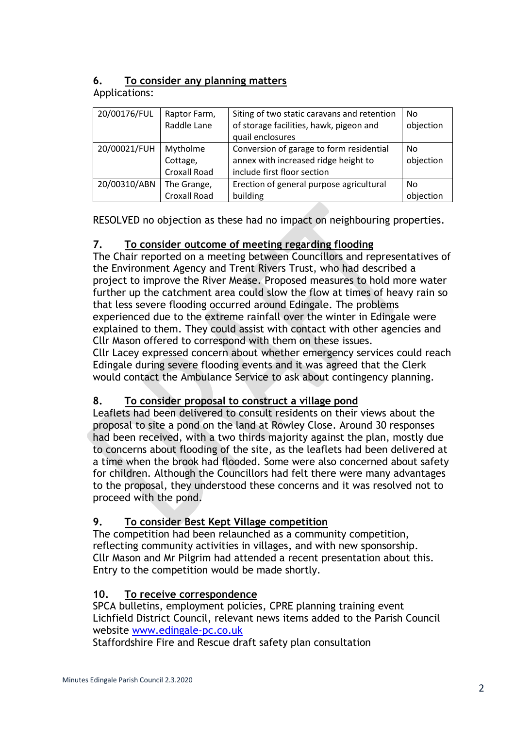### **6. To consider any planning matters** Applications:

| 20/00176/FUL | Raptor Farm, | Siting of two static caravans and retention | No        |
|--------------|--------------|---------------------------------------------|-----------|
|              | Raddle Lane  | of storage facilities, hawk, pigeon and     | objection |
|              |              | quail enclosures                            |           |
| 20/00021/FUH | Mytholme     | Conversion of garage to form residential    | No        |
|              | Cottage,     | annex with increased ridge height to        | objection |
|              | Croxall Road | include first floor section                 |           |
| 20/00310/ABN | The Grange,  | Erection of general purpose agricultural    | No        |
|              | Croxall Road | building                                    | objection |

RESOLVED no objection as these had no impact on neighbouring properties.

## **7. To consider outcome of meeting regarding flooding**

The Chair reported on a meeting between Councillors and representatives of the Environment Agency and Trent Rivers Trust, who had described a project to improve the River Mease. Proposed measures to hold more water further up the catchment area could slow the flow at times of heavy rain so that less severe flooding occurred around Edingale. The problems experienced due to the extreme rainfall over the winter in Edingale were explained to them. They could assist with contact with other agencies and Cllr Mason offered to correspond with them on these issues.

Cllr Lacey expressed concern about whether emergency services could reach Edingale during severe flooding events and it was agreed that the Clerk would contact the Ambulance Service to ask about contingency planning.

# **8. To consider proposal to construct a village pond**

Leaflets had been delivered to consult residents on their views about the proposal to site a pond on the land at Rowley Close. Around 30 responses had been received, with a two thirds majority against the plan, mostly due to concerns about flooding of the site, as the leaflets had been delivered at a time when the brook had flooded. Some were also concerned about safety for children. Although the Councillors had felt there were many advantages to the proposal, they understood these concerns and it was resolved not to proceed with the pond.

# **9. To consider Best Kept Village competition**

The competition had been relaunched as a community competition, reflecting community activities in villages, and with new sponsorship. Cllr Mason and Mr Pilgrim had attended a recent presentation about this. Entry to the competition would be made shortly.

## **10. To receive correspondence**

SPCA bulletins, employment policies, CPRE planning training event Lichfield District Council, relevant news items added to the Parish Council website [www.edingale-pc.co.uk](http://www.edingale-pc.co.uk/)

Staffordshire Fire and Rescue draft safety plan consultation